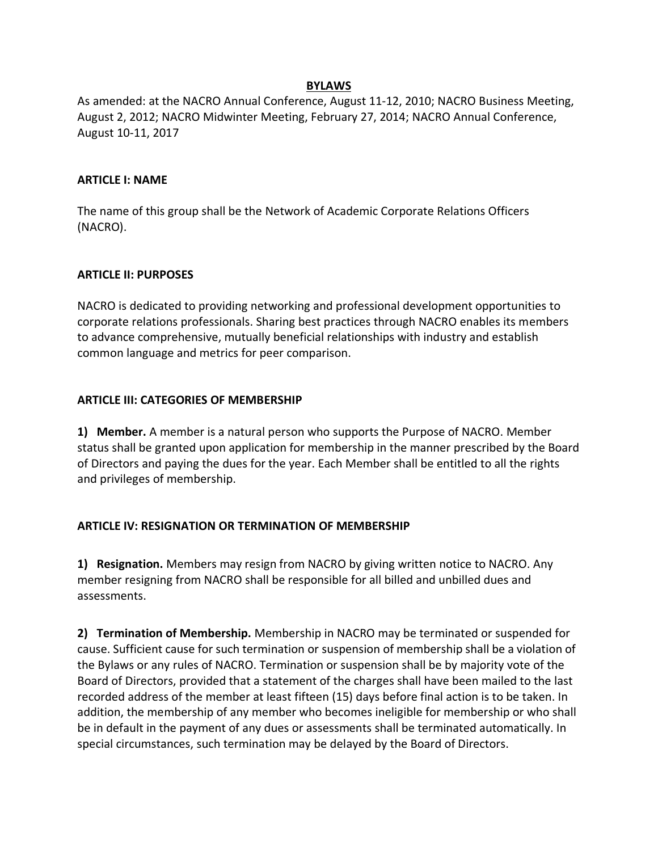### **BYLAWS**

As amended: at the NACRO Annual Conference, August 11‐12, 2010; NACRO Business Meeting, August 2, 2012; NACRO Midwinter Meeting, February 27, 2014; NACRO Annual Conference, August 10-11, 2017

#### **ARTICLE I: NAME**

The name of this group shall be the Network of Academic Corporate Relations Officers (NACRO).

### **ARTICLE II: PURPOSES**

NACRO is dedicated to providing networking and professional development opportunities to corporate relations professionals. Sharing best practices through NACRO enables its members to advance comprehensive, mutually beneficial relationships with industry and establish common language and metrics for peer comparison.

### **ARTICLE III: CATEGORIES OF MEMBERSHIP**

**1) Member.** A member is a natural person who supports the Purpose of NACRO. Member status shall be granted upon application for membership in the manner prescribed by the Board of Directors and paying the dues for the year. Each Member shall be entitled to all the rights and privileges of membership.

# **ARTICLE IV: RESIGNATION OR TERMINATION OF MEMBERSHIP**

**1) Resignation.** Members may resign from NACRO by giving written notice to NACRO. Any member resigning from NACRO shall be responsible for all billed and unbilled dues and assessments.

**2) Termination of Membership.** Membership in NACRO may be terminated or suspended for cause. Sufficient cause for such termination or suspension of membership shall be a violation of the Bylaws or any rules of NACRO. Termination or suspension shall be by majority vote of the Board of Directors, provided that a statement of the charges shall have been mailed to the last recorded address of the member at least fifteen (15) days before final action is to be taken. In addition, the membership of any member who becomes ineligible for membership or who shall be in default in the payment of any dues or assessments shall be terminated automatically. In special circumstances, such termination may be delayed by the Board of Directors.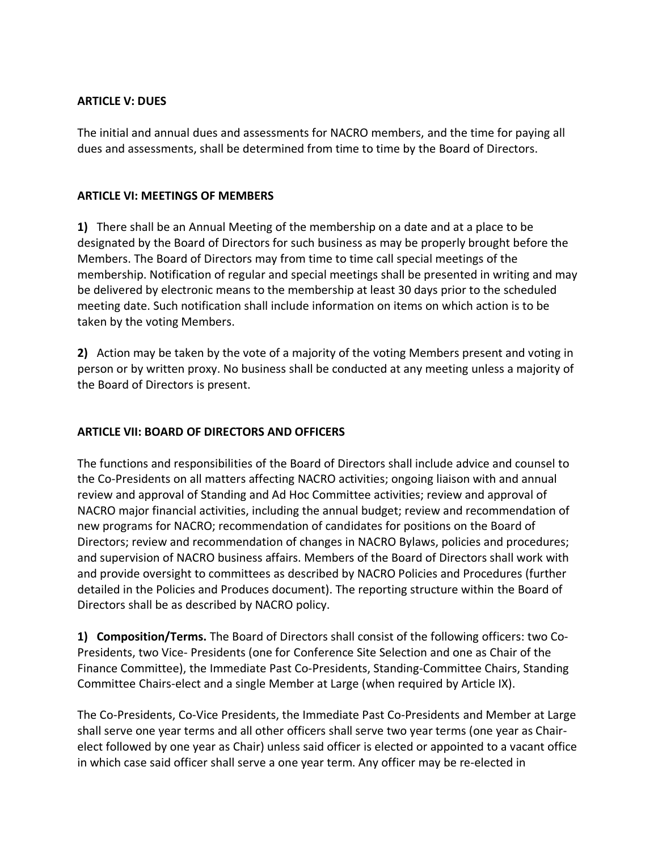### **ARTICLE V: DUES**

The initial and annual dues and assessments for NACRO members, and the time for paying all dues and assessments, shall be determined from time to time by the Board of Directors.

## **ARTICLE VI: MEETINGS OF MEMBERS**

**1)** There shall be an Annual Meeting of the membership on a date and at a place to be designated by the Board of Directors for such business as may be properly brought before the Members. The Board of Directors may from time to time call special meetings of the membership. Notification of regular and special meetings shall be presented in writing and may be delivered by electronic means to the membership at least 30 days prior to the scheduled meeting date. Such notification shall include information on items on which action is to be taken by the voting Members.

**2)** Action may be taken by the vote of a majority of the voting Members present and voting in person or by written proxy. No business shall be conducted at any meeting unless a majority of the Board of Directors is present.

# **ARTICLE VII: BOARD OF DIRECTORS AND OFFICERS**

The functions and responsibilities of the Board of Directors shall include advice and counsel to the Co-Presidents on all matters affecting NACRO activities; ongoing liaison with and annual review and approval of Standing and Ad Hoc Committee activities; review and approval of NACRO major financial activities, including the annual budget; review and recommendation of new programs for NACRO; recommendation of candidates for positions on the Board of Directors; review and recommendation of changes in NACRO Bylaws, policies and procedures; and supervision of NACRO business affairs. Members of the Board of Directors shall work with and provide oversight to committees as described by NACRO Policies and Procedures (further detailed in the Policies and Produces document). The reporting structure within the Board of Directors shall be as described by NACRO policy.

**1) Composition/Terms.** The Board of Directors shall consist of the following officers: two Co‐ Presidents, two Vice‐ Presidents (one for Conference Site Selection and one as Chair of the Finance Committee), the Immediate Past Co-Presidents, Standing-Committee Chairs, Standing Committee Chairs‐elect and a single Member at Large (when required by Article IX).

The Co‐Presidents, Co‐Vice Presidents, the Immediate Past Co‐Presidents and Member at Large shall serve one year terms and all other officers shall serve two year terms (one year as Chair‐ elect followed by one year as Chair) unless said officer is elected or appointed to a vacant office in which case said officer shall serve a one year term. Any officer may be re‐elected in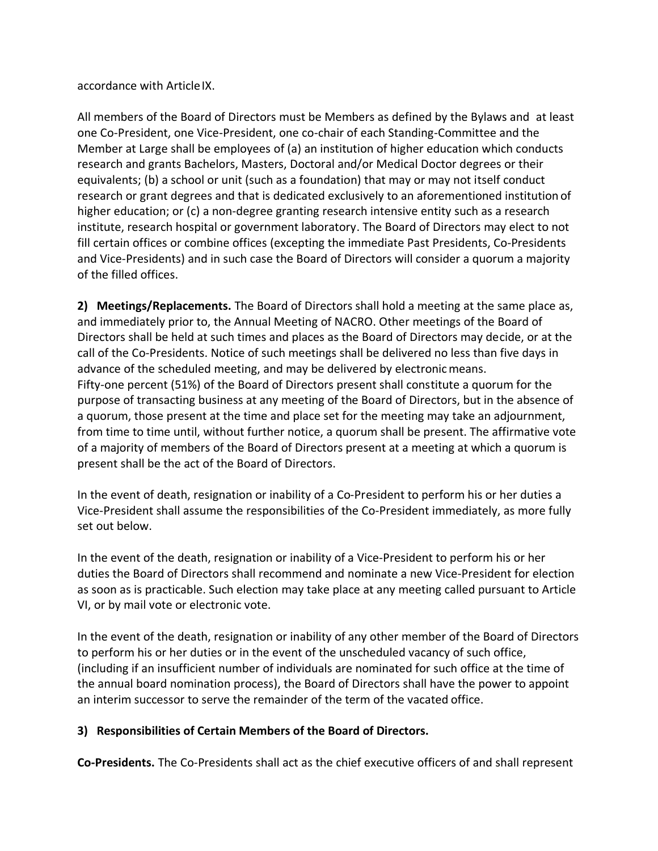### accordance with ArticleIX.

All members of the Board of Directors must be Members as defined by the Bylaws and at least one Co-President, one Vice-President, one co-chair of each Standing-Committee and the Member at Large shall be employees of (a) an institution of higher education which conducts research and grants Bachelors, Masters, Doctoral and/or Medical Doctor degrees or their equivalents; (b) a school or unit (such as a foundation) that may or may not itself conduct research or grant degrees and that is dedicated exclusively to an aforementioned institution of higher education; or (c) a non-degree granting research intensive entity such as a research institute, research hospital or government laboratory. The Board of Directors may elect to not fill certain offices or combine offices (excepting the immediate Past Presidents, Co‐Presidents and Vice-Presidents) and in such case the Board of Directors will consider a quorum a majority of the filled offices.

**2) Meetings/Replacements.** The Board of Directors shall hold a meeting at the same place as, and immediately prior to, the Annual Meeting of NACRO. Other meetings of the Board of Directors shall be held at such times and places as the Board of Directors may decide, or at the call of the Co‐Presidents. Notice of such meetings shall be delivered no less than five days in advance of the scheduled meeting, and may be delivered by electronicmeans. Fifty-one percent (51%) of the Board of Directors present shall constitute a quorum for the purpose of transacting business at any meeting of the Board of Directors, but in the absence of a quorum, those present at the time and place set for the meeting may take an adjournment, from time to time until, without further notice, a quorum shall be present. The affirmative vote of a majority of members of the Board of Directors present at a meeting at which a quorum is present shall be the act of the Board of Directors.

In the event of death, resignation or inability of a Co‐President to perform his or her duties a Vice‐President shall assume the responsibilities of the Co‐President immediately, as more fully set out below.

In the event of the death, resignation or inability of a Vice-President to perform his or her duties the Board of Directors shall recommend and nominate a new Vice‐President for election as soon as is practicable. Such election may take place at any meeting called pursuant to Article VI, or by mail vote or electronic vote.

In the event of the death, resignation or inability of any other member of the Board of Directors to perform his or her duties or in the event of the unscheduled vacancy of such office, (including if an insufficient number of individuals are nominated for such office at the time of the annual board nomination process), the Board of Directors shall have the power to appoint an interim successor to serve the remainder of the term of the vacated office.

# **3) Responsibilities of Certain Members of the Board of Directors.**

**Co‐Presidents.** The Co‐Presidents shall act as the chief executive officers of and shall represent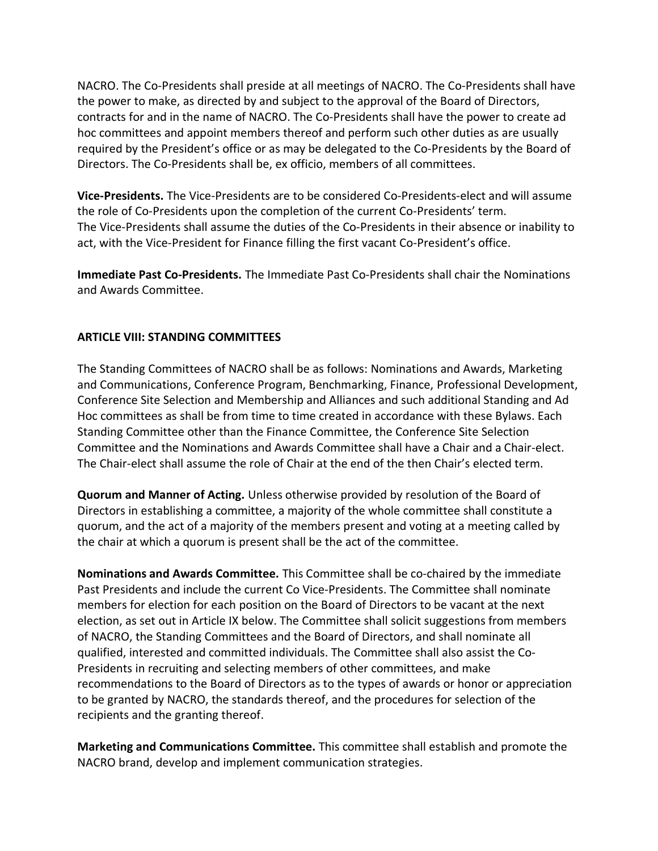NACRO. The Co‐Presidents shall preside at all meetings of NACRO. The Co‐Presidents shall have the power to make, as directed by and subject to the approval of the Board of Directors, contracts for and in the name of NACRO. The Co‐Presidents shall have the power to create ad hoc committees and appoint members thereof and perform such other duties as are usually required by the President's office or as may be delegated to the Co‐Presidents by the Board of Directors. The Co‐Presidents shall be, ex officio, members of all committees.

**Vice‐Presidents.** The Vice‐Presidents are to be considered Co‐Presidents‐elect and will assume the role of Co‐Presidents upon the completion of the current Co‐Presidents' term. The Vice-Presidents shall assume the duties of the Co-Presidents in their absence or inability to act, with the Vice‐President for Finance filling the first vacant Co‐President's office.

**Immediate Past Co‐Presidents.** The Immediate Past Co‐Presidents shall chair the Nominations and Awards Committee.

### **ARTICLE VIII: STANDING COMMITTEES**

The Standing Committees of NACRO shall be as follows: Nominations and Awards, Marketing and Communications, Conference Program, Benchmarking, Finance, Professional Development, Conference Site Selection and Membership and Alliances and such additional Standing and Ad Hoc committees as shall be from time to time created in accordance with these Bylaws. Each Standing Committee other than the Finance Committee, the Conference Site Selection Committee and the Nominations and Awards Committee shall have a Chair and a Chair‐elect. The Chair‐elect shall assume the role of Chair at the end of the then Chair's elected term.

**Quorum and Manner of Acting.** Unless otherwise provided by resolution of the Board of Directors in establishing a committee, a majority of the whole committee shall constitute a quorum, and the act of a majority of the members present and voting at a meeting called by the chair at which a quorum is present shall be the act of the committee.

**Nominations and Awards Committee.** This Committee shall be co‐chaired by the immediate Past Presidents and include the current Co Vice‐Presidents. The Committee shall nominate members for election for each position on the Board of Directors to be vacant at the next election, as set out in Article IX below. The Committee shall solicit suggestions from members of NACRO, the Standing Committees and the Board of Directors, and shall nominate all qualified, interested and committed individuals. The Committee shall also assist the Co‐ Presidents in recruiting and selecting members of other committees, and make recommendations to the Board of Directors as to the types of awards or honor or appreciation to be granted by NACRO, the standards thereof, and the procedures for selection of the recipients and the granting thereof.

**Marketing and Communications Committee.** This committee shall establish and promote the NACRO brand, develop and implement communication strategies.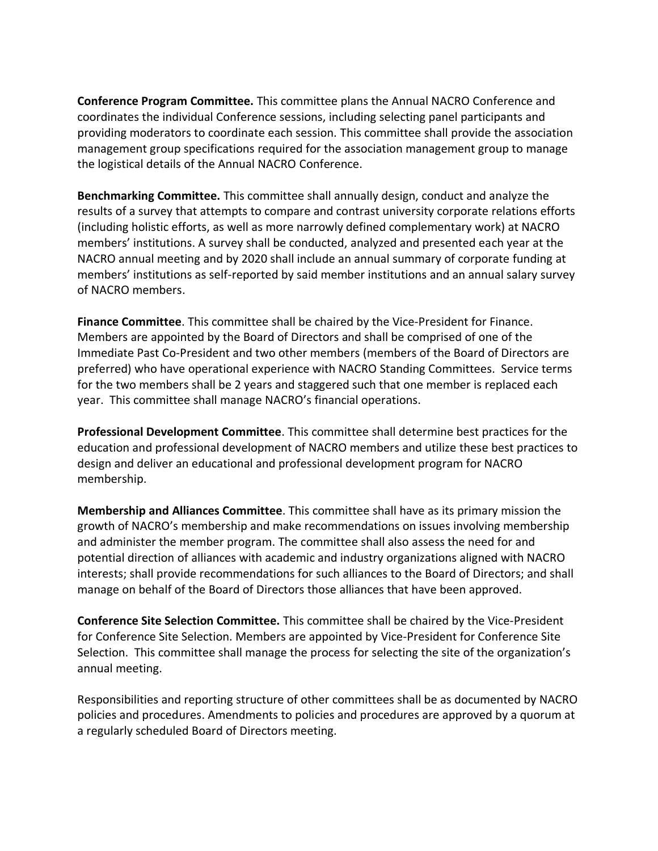**Conference Program Committee.** This committee plans the Annual NACRO Conference and coordinates the individual Conference sessions, including selecting panel participants and providing moderators to coordinate each session. This committee shall provide the association management group specifications required for the association management group to manage the logistical details of the Annual NACRO Conference.

**Benchmarking Committee.** This committee shall annually design, conduct and analyze the results of a survey that attempts to compare and contrast university corporate relations efforts (including holistic efforts, as well as more narrowly defined complementary work) at NACRO members' institutions. A survey shall be conducted, analyzed and presented each year at the NACRO annual meeting and by 2020 shall include an annual summary of corporate funding at members' institutions as self-reported by said member institutions and an annual salary survey of NACRO members.

**Finance Committee**. This committee shall be chaired by the Vice‐President for Finance. Members are appointed by the Board of Directors and shall be comprised of one of the Immediate Past Co‐President and two other members (members of the Board of Directors are preferred) who have operational experience with NACRO Standing Committees. Service terms for the two members shall be 2 years and staggered such that one member is replaced each year. This committee shall manage NACRO's financial operations.

**Professional Development Committee**. This committee shall determine best practices for the education and professional development of NACRO members and utilize these best practices to design and deliver an educational and professional development program for NACRO membership.

**Membership and Alliances Committee**. This committee shall have as its primary mission the growth of NACRO's membership and make recommendations on issues involving membership and administer the member program. The committee shall also assess the need for and potential direction of alliances with academic and industry organizations aligned with NACRO interests; shall provide recommendations for such alliances to the Board of Directors; and shall manage on behalf of the Board of Directors those alliances that have been approved.

**Conference Site Selection Committee.** This committee shall be chaired by the Vice‐President for Conference Site Selection. Members are appointed by Vice-President for Conference Site Selection. This committee shall manage the process for selecting the site of the organization's annual meeting.

Responsibilities and reporting structure of other committees shall be as documented by NACRO policies and procedures. Amendments to policies and procedures are approved by a quorum at a regularly scheduled Board of Directors meeting.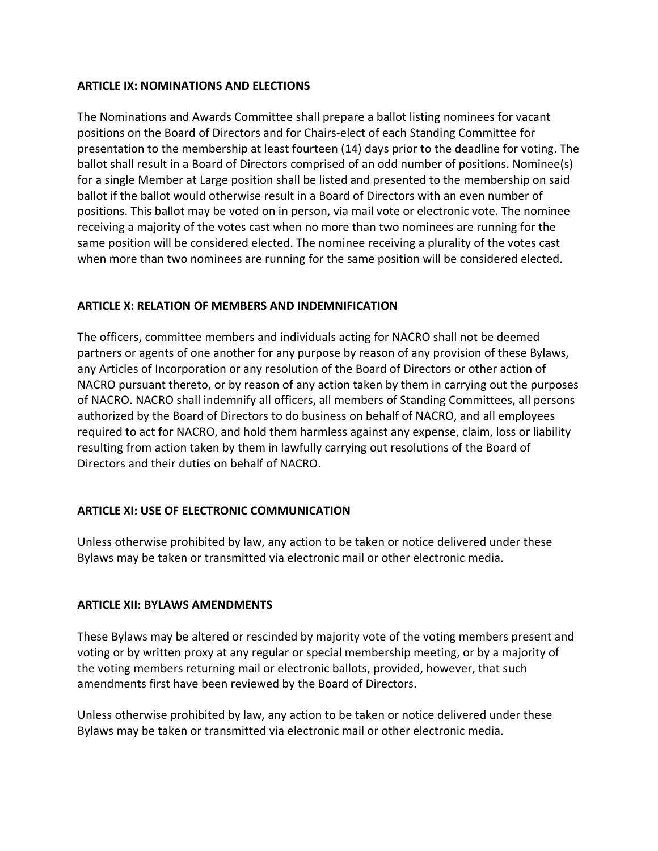### **ARTICLE IX: NOMINATIONS AND ELECTIONS**

The Nominations and Awards Committee shall prepare a ballot listing nominees for vacant positions on the Board of Directors and for Chairs‐elect of each Standing Committee for presentation to the membership at least fourteen (14) days prior to the deadline for voting. The ballot shall result in a Board of Directors comprised of an odd number of positions. Nominee(s) for a single Member at Large position shall be listed and presented to the membership on said ballot if the ballot would otherwise result in a Board of Directors with an even number of positions. This ballot may be voted on in person, via mail vote or electronic vote. The nominee receiving a majority of the votes cast when no more than two nominees are running for the same position will be considered elected. The nominee receiving a plurality of the votes cast when more than two nominees are running for the same position will be considered elected.

### **ARTICLE X: RELATION OF MEMBERS AND INDEMNIFICATION**

The officers, committee members and individuals acting for NACRO shall not be deemed partners or agents of one another for any purpose by reason of any provision of these Bylaws, any Articles of Incorporation or any resolution of the Board of Directors or other action of NACRO pursuant thereto, or by reason of any action taken by them in carrying out the purposes of NACRO. NACRO shall indemnify all officers, all members of Standing Committees, all persons authorized by the Board of Directors to do business on behalf of NACRO, and all employees required to act for NACRO, and hold them harmless against any expense, claim, loss or liability resulting from action taken by them in lawfully carrying out resolutions of the Board of Directors and their duties on behalf of NACRO.

# **ARTICLE XI: USE OF ELECTRONIC COMMUNICATION**

Unless otherwise prohibited by law, any action to be taken or notice delivered under these Bylaws may be taken or transmitted via electronic mail or other electronic media.

# **ARTICLE XII: BYLAWS AMENDMENTS**

These Bylaws may be altered or rescinded by majority vote of the voting members present and voting or by written proxy at any regular or special membership meeting, or by a majority of the voting members returning mail or electronic ballots, provided, however, that such amendments first have been reviewed by the Board of Directors.

Unless otherwise prohibited by law, any action to be taken or notice delivered under these Bylaws may be taken or transmitted via electronic mail or other electronic media.